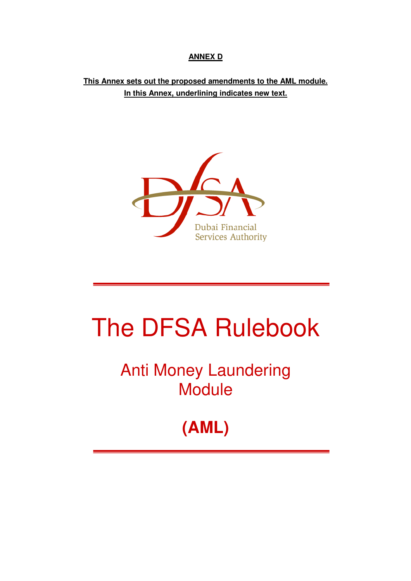## **ANNEX D**

# **This Annex sets out the proposed amendments to the AML module. In this Annex, underlining indicates new text.**



# The DFSA Rulebook

Anti Money Laundering **Module** 

# **(AML)**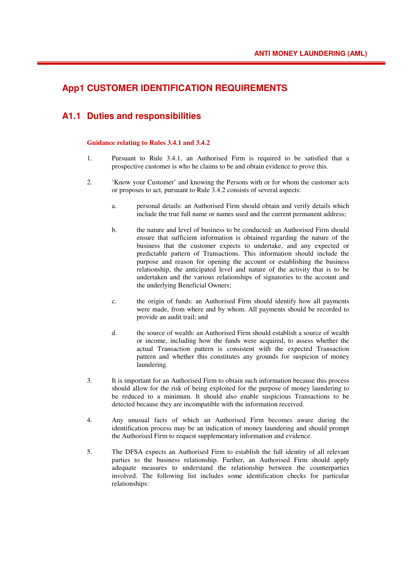### **App1 CUSTOMER IDENTIFICATION REQUIREMENTS**

### **A1.1 Duties and responsibilities**

#### **Guidance relating to Rules 3.4.1 and 3.4.2**

- 1. Pursuant to Rule 3.4.1, an Authorised Firm is required to be satisfied that a prospective customer is who he claims to be and obtain evidence to prove this.
- 2. 'Know your Customer' and knowing the Persons with or for whom the customer acts or proposes to act, pursuant to Rule 3.4.2 consists of several aspects:
	- a. personal details: an Authorised Firm should obtain and verify details which include the true full name or names used and the current permanent address;
	- b. the nature and level of business to be conducted: an Authorised Firm should ensure that sufficient information is obtained regarding the nature of the business that the customer expects to undertake, and any expected or predictable pattern of Transactions. This information should include the purpose and reason for opening the account or establishing the business relationship, the anticipated level and nature of the activity that is to be undertaken and the various relationships of signatories to the account and the underlying Beneficial Owners;
	- c. the origin of funds: an Authorised Firm should identify how all payments were made, from where and by whom. All payments should be recorded to provide an audit trail; and
	- d. the source of wealth: an Authorised Firm should establish a source of wealth or income, including how the funds were acquired, to assess whether the actual Transaction pattern is consistent with the expected Transaction pattern and whether this constitutes any grounds for suspicion of money laundering.
- 3. It is important for an Authorised Firm to obtain such information because this process should allow for the risk of being exploited for the purpose of money laundering to be reduced to a minimum. It should also enable suspicious Transactions to be detected because they are incompatible with the information received.
- 4. Any unusual facts of which an Authorised Firm becomes aware during the identification process may be an indication of money laundering and should prompt the Authorised Firm to request supplementary information and evidence.
- 5. The DFSA expects an Authorised Firm to establish the full identity of all relevant parties to the business relationship. Further, an Authorised Firm should apply adequate measures to understand the relationship between the counterparties involved. The following list includes some identification checks for particular relationships: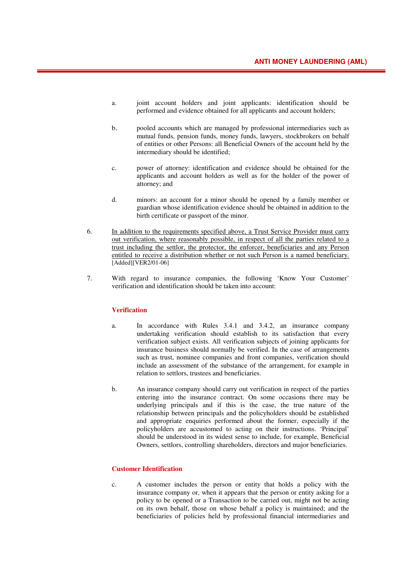- a. joint account holders and joint applicants: identification should be performed and evidence obtained for all applicants and account holders;
- b. pooled accounts which are managed by professional intermediaries such as mutual funds, pension funds, money funds, lawyers, stockbrokers on behalf of entities or other Persons: all Beneficial Owners of the account held by the intermediary should be identified;
- c. power of attorney: identification and evidence should be obtained for the applicants and account holders as well as for the holder of the power of attorney; and
- d. minors: an account for a minor should be opened by a family member or guardian whose identification evidence should be obtained in addition to the birth certificate or passport of the minor.
- 6. In addition to the requirements specified above, a Trust Service Provider must carry out verification, where reasonably possible, in respect of all the parties related to a trust including the settlor, the protector, the enforcer, beneficiaries and any Person entitled to receive a distribution whether or not such Person is a named beneficiary. [Added][VER2/01-06]
- 7. With regard to insurance companies, the following 'Know Your Customer' verification and identification should be taken into account:

#### **Verification**

- a. In accordance with Rules 3.4.1 and 3.4.2, an insurance company undertaking verification should establish to its satisfaction that every verification subject exists. All verification subjects of joining applicants for insurance business should normally be verified. In the case of arrangements such as trust, nominee companies and front companies, verification should include an assessment of the substance of the arrangement, for example in relation to settlors, trustees and beneficiaries.
- b. An insurance company should carry out verification in respect of the parties entering into the insurance contract. On some occasions there may be underlying principals and if this is the case, the true nature of the relationship between principals and the policyholders should be established and appropriate enquiries performed about the former, especially if the policyholders are accustomed to acting on their instructions. 'Principal' should be understood in its widest sense to include, for example, Beneficial Owners, settlors, controlling shareholders, directors and major beneficiaries.

#### **Customer Identification**

c. A customer includes the person or entity that holds a policy with the insurance company or, when it appears that the person or entity asking for a policy to be opened or a Transaction to be carried out, might not be acting on its own behalf, those on whose behalf a policy is maintained; and the beneficiaries of policies held by professional financial intermediaries and